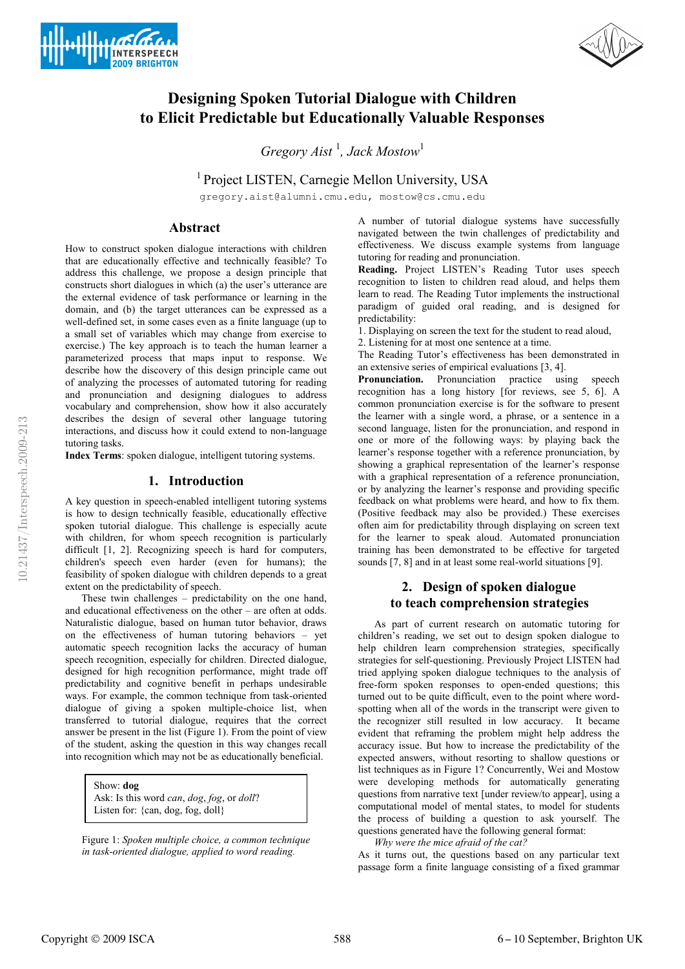



# **Designing Spoken Tutorial Dialogue with Children to Elicit Predictable but Educationally Valuable Responses**

*Gregory Aist* <sup>1</sup> *, Jack Mostow*<sup>1</sup>

<sup>1</sup> Project LISTEN, Carnegie Mellon University, USA

gregory.aist@alumni.cmu.edu, mostow@cs.cmu.edu

### **Abstract**

How to construct spoken dialogue interactions with children that are educationally effective and technically feasible? To address this challenge, we propose a design principle that constructs short dialogues in which (a) the user's utterance are the external evidence of task performance or learning in the domain, and (b) the target utterances can be expressed as a well-defined set, in some cases even as a finite language (up to a small set of variables which may change from exercise to exercise.) The key approach is to teach the human learner a parameterized process that maps input to response. We describe how the discovery of this design principle came out of analyzing the processes of automated tutoring for reading and pronunciation and designing dialogues to address vocabulary and comprehension, show how it also accurately describes the design of several other language tutoring interactions, and discuss how it could extend to non-language tutoring tasks.

**Index Terms**: spoken dialogue, intelligent tutoring systems.

### **1. Introduction**

A key question in speech-enabled intelligent tutoring systems is how to design technically feasible, educationally effective spoken tutorial dialogue. This challenge is especially acute with children, for whom speech recognition is particularly difficult [1, 2]. Recognizing speech is hard for computers, children's speech even harder (even for humans); the feasibility of spoken dialogue with children depends to a great extent on the predictability of speech.

These twin challenges – predictability on the one hand, and educational effectiveness on the other – are often at odds. Naturalistic dialogue, based on human tutor behavior, draws on the effectiveness of human tutoring behaviors – yet automatic speech recognition lacks the accuracy of human speech recognition, especially for children. Directed dialogue, designed for high recognition performance, might trade off predictability and cognitive benefit in perhaps undesirable ways. For example, the common technique from task-oriented dialogue of giving a spoken multiple-choice list, when transferred to tutorial dialogue, requires that the correct answer be present in the list (Figure 1). From the point of view of the student, asking the question in this way changes recall into recognition which may not be as educationally beneficial.

Show: **dog** Ask: Is this word *can*, *dog*, *fog*, or *doll*? Listen for: {can, dog, fog, doll}

Figure 1: *Spoken multiple choice, a common technique in task-oriented dialogue, applied to word reading.*

A number of tutorial dialogue systems have successfully navigated between the twin challenges of predictability and effectiveness. We discuss example systems from language tutoring for reading and pronunciation.

**Reading.** Project LISTEN's Reading Tutor uses speech recognition to listen to children read aloud, and helps them learn to read. The Reading Tutor implements the instructional paradigm of guided oral reading, and is designed for predictability:

1. Displaying on screen the text for the student to read aloud,

2. Listening for at most one sentence at a time.

The Reading Tutor's effectiveness has been demonstrated in an extensive series of empirical evaluations [3, 4].

**Pronunciation.** Pronunciation practice using speech recognition has a long history [for reviews, see 5, 6]. A common pronunciation exercise is for the software to present the learner with a single word, a phrase, or a sentence in a second language, listen for the pronunciation, and respond in one or more of the following ways: by playing back the learner's response together with a reference pronunciation, by showing a graphical representation of the learner's response with a graphical representation of a reference pronunciation, or by analyzing the learner's response and providing specific feedback on what problems were heard, and how to fix them. (Positive feedback may also be provided.) These exercises often aim for predictability through displaying on screen text for the learner to speak aloud. Automated pronunciation training has been demonstrated to be effective for targeted sounds [7, 8] and in at least some real-world situations [9].

## **2. Design of spoken dialogue to teach comprehension strategies**

As part of current research on automatic tutoring for children's reading, we set out to design spoken dialogue to help children learn comprehension strategies, specifically strategies for self-questioning. Previously Project LISTEN had tried applying spoken dialogue techniques to the analysis of free-form spoken responses to open-ended questions; this turned out to be quite difficult, even to the point where wordspotting when all of the words in the transcript were given to the recognizer still resulted in low accuracy. It became evident that reframing the problem might help address the accuracy issue. But how to increase the predictability of the expected answers, without resorting to shallow questions or list techniques as in Figure 1? Concurrently, Wei and Mostow were developing methods for automatically generating questions from narrative text [under review/to appear], using a computational model of mental states, to model for students the process of building a question to ask yourself. The questions generated have the following general format:

*Why were the mice afraid of the cat?* 

As it turns out, the questions based on any particular text passage form a finite language consisting of a fixed grammar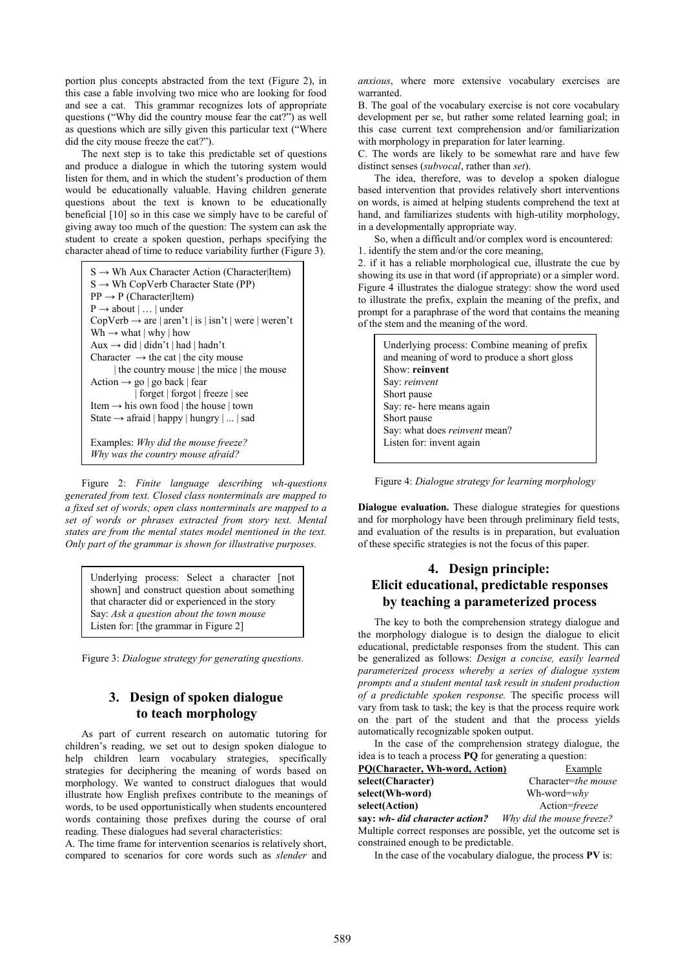portion plus concepts abstracted from the text (Figure 2), in this case a fable involving two mice who are looking for food and see a cat. This grammar recognizes lots of appropriate questions ("Why did the country mouse fear the cat?") as well as questions which are silly given this particular text ("Where did the city mouse freeze the cat?").

The next step is to take this predictable set of questions and produce a dialogue in which the tutoring system would listen for them, and in which the student's production of them would be educationally valuable. Having children generate questions about the text is known to be educationally beneficial [10] so in this case we simply have to be careful of giving away too much of the question: The system can ask the student to create a spoken question, perhaps specifying the character ahead of time to reduce variability further (Figure 3).

```
S \rightarrow Wh Aux Character Action (Character|Item)
S \rightarrow Wh CopVerb Character State (PP)
PP \rightarrow P (Character|Item)
P \rightarrow about \vert ... \vert under
Copyerb \rightarrow are | aren't | is | isn't | were | weren'tWh \rightarrow what | why | how
Aux → did | didn't | had | hadn't
Character \rightarrow the cat | the city mouse
      | the country mouse | the mice | the mouse
Action \rightarrow go | go back | fear
             | forget | forgot | freeze | see
Item → his own food | the house | town 
State \rightarrow afraid | happy | hungry | ... | sad
Examples: Why did the mouse freeze?
Why was the country mouse afraid?
```
Figure 2: *Finite language describing wh-questions generated from text. Closed class nonterminals are mapped to a fixed set of words; open class nonterminals are mapped to a set of words or phrases extracted from story text. Mental states are from the mental states model mentioned in the text. Only part of the grammar is shown for illustrative purposes.*

Underlying process: Select a character [not shown] and construct question about something that character did or experienced in the story Say: *Ask a question about the town mouse*  Listen for: [the grammar in Figure 2]

Figure 3: *Dialogue strategy for generating questions.*

# **3. Design of spoken dialogue to teach morphology**

As part of current research on automatic tutoring for children's reading, we set out to design spoken dialogue to help children learn vocabulary strategies, specifically strategies for deciphering the meaning of words based on morphology. We wanted to construct dialogues that would illustrate how English prefixes contribute to the meanings of words, to be used opportunistically when students encountered words containing those prefixes during the course of oral reading. These dialogues had several characteristics:

A. The time frame for intervention scenarios is relatively short, compared to scenarios for core words such as *slender* and *anxious*, where more extensive vocabulary exercises are warranted.

B. The goal of the vocabulary exercise is not core vocabulary development per se, but rather some related learning goal; in this case current text comprehension and/or familiarization with morphology in preparation for later learning.

C. The words are likely to be somewhat rare and have few distinct senses (*subvocal*, rather than *set*).

The idea, therefore, was to develop a spoken dialogue based intervention that provides relatively short interventions on words, is aimed at helping students comprehend the text at hand, and familiarizes students with high-utility morphology, in a developmentally appropriate way.

So, when a difficult and/or complex word is encountered:

1. identify the stem and/or the core meaning,

2. if it has a reliable morphological cue, illustrate the cue by showing its use in that word (if appropriate) or a simpler word. Figure 4 illustrates the dialogue strategy: show the word used to illustrate the prefix, explain the meaning of the prefix, and prompt for a paraphrase of the word that contains the meaning of the stem and the meaning of the word.

Underlying process: Combine meaning of prefix and meaning of word to produce a short gloss Show: **reinvent** Say: *reinvent* Short pause Say: re- here means again Short pause Say: what does *reinvent* mean? Listen for: invent again

Figure 4: *Dialogue strategy for learning morphology*

**Dialogue evaluation.** These dialogue strategies for questions and for morphology have been through preliminary field tests, and evaluation of the results is in preparation, but evaluation of these specific strategies is not the focus of this paper.

## **4. Design principle: Elicit educational, predictable responses by teaching a parameterized process**

The key to both the comprehension strategy dialogue and the morphology dialogue is to design the dialogue to elicit educational, predictable responses from the student. This can be generalized as follows: *Design a concise, easily learned parameterized process whereby a series of dialogue system prompts and a student mental task result in student production of a predictable spoken response.* The specific process will vary from task to task; the key is that the process require work on the part of the student and that the process yields automatically recognizable spoken output.

In the case of the comprehension strategy dialogue, the idea is to teach a process **PQ** for generating a question:

| PQ(Character, Wh-word, Action)                                  | Example                   |
|-----------------------------------------------------------------|---------------------------|
| select(Character)                                               | Character=the mouse       |
| select(Wh-word)                                                 | Wh-word= $whv$            |
| select(Action)                                                  | Action=freeze             |
| say: wh- did character action?                                  | Why did the mouse freeze? |
| Multiple correct responses are possible, yet the outcome set is |                           |
| constrained enough to be predictable.                           |                           |

In the case of the vocabulary dialogue, the process **PV** is: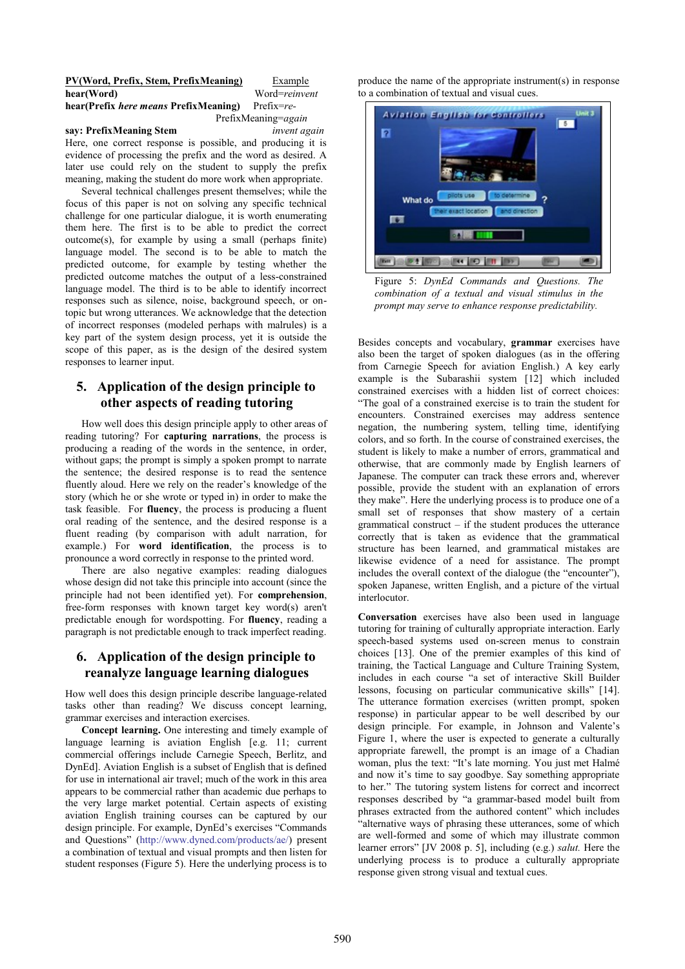#### **PV(Word, Prefix, Stem, PrefixMeaning)** Example **hear(Word)** Word=*reinvent*

# **hear(Prefix** *here means* **PrefixMeaning)** Prefix=*re-*

#### **say: PrefixMeaning Stem** *invent again*

PrefixMeaning=*again*

Here, one correct response is possible, and producing it is evidence of processing the prefix and the word as desired. A later use could rely on the student to supply the prefix meaning, making the student do more work when appropriate.

Several technical challenges present themselves; while the focus of this paper is not on solving any specific technical challenge for one particular dialogue, it is worth enumerating them here. The first is to be able to predict the correct outcome(s), for example by using a small (perhaps finite) language model. The second is to be able to match the predicted outcome, for example by testing whether the predicted outcome matches the output of a less-constrained language model. The third is to be able to identify incorrect responses such as silence, noise, background speech, or ontopic but wrong utterances. We acknowledge that the detection of incorrect responses (modeled perhaps with malrules) is a key part of the system design process, yet it is outside the scope of this paper, as is the design of the desired system responses to learner input.

# **5. Application of the design principle to other aspects of reading tutoring**

How well does this design principle apply to other areas of reading tutoring? For **capturing narrations**, the process is producing a reading of the words in the sentence, in order, without gaps; the prompt is simply a spoken prompt to narrate the sentence; the desired response is to read the sentence fluently aloud. Here we rely on the reader's knowledge of the story (which he or she wrote or typed in) in order to make the task feasible. For **fluency**, the process is producing a fluent oral reading of the sentence, and the desired response is a fluent reading (by comparison with adult narration, for example.) For **word identification**, the process is to pronounce a word correctly in response to the printed word.

There are also negative examples: reading dialogues whose design did not take this principle into account (since the principle had not been identified yet). For **comprehension**, free-form responses with known target key word(s) aren't predictable enough for wordspotting. For **fluency**, reading a paragraph is not predictable enough to track imperfect reading.

# **6. Application of the design principle to reanalyze language learning dialogues**

How well does this design principle describe language-related tasks other than reading? We discuss concept learning, grammar exercises and interaction exercises.

**Concept learning.** One interesting and timely example of language learning is aviation English [e.g. 11; current commercial offerings include Carnegie Speech, Berlitz, and DynEd]. Aviation English is a subset of English that is defined for use in international air travel; much of the work in this area appears to be commercial rather than academic due perhaps to the very large market potential. Certain aspects of existing aviation English training courses can be captured by our design principle. For example, DynEd's exercises "Commands and Questions" (http://www.dyned.com/products/ae/) present a combination of textual and visual prompts and then listen for student responses (Figure 5). Here the underlying process is to

produce the name of the appropriate instrument(s) in response to a combination of textual and visual cues.



Figure 5: *DynEd Commands and Questions. The combination of a textual and visual stimulus in the prompt may serve to enhance response predictability.* 

Besides concepts and vocabulary, **grammar** exercises have also been the target of spoken dialogues (as in the offering from Carnegie Speech for aviation English.) A key early example is the Subarashii system [12] which included constrained exercises with a hidden list of correct choices: "The goal of a constrained exercise is to train the student for encounters. Constrained exercises may address sentence negation, the numbering system, telling time, identifying colors, and so forth. In the course of constrained exercises, the student is likely to make a number of errors, grammatical and otherwise, that are commonly made by English learners of Japanese. The computer can track these errors and, wherever possible, provide the student with an explanation of errors they make". Here the underlying process is to produce one of a small set of responses that show mastery of a certain grammatical construct  $-$  if the student produces the utterance correctly that is taken as evidence that the grammatical structure has been learned, and grammatical mistakes are likewise evidence of a need for assistance. The prompt includes the overall context of the dialogue (the "encounter"), spoken Japanese, written English, and a picture of the virtual interlocutor.

**Conversation** exercises have also been used in language tutoring for training of culturally appropriate interaction. Early speech-based systems used on-screen menus to constrain choices [13]. One of the premier examples of this kind of training, the Tactical Language and Culture Training System, includes in each course "a set of interactive Skill Builder lessons, focusing on particular communicative skills" [14]. The utterance formation exercises (written prompt, spoken response) in particular appear to be well described by our design principle. For example, in Johnson and Valente's Figure 1, where the user is expected to generate a culturally appropriate farewell, the prompt is an image of a Chadian woman, plus the text: "It's late morning. You just met Halmé and now it's time to say goodbye. Say something appropriate to her." The tutoring system listens for correct and incorrect responses described by "a grammar-based model built from phrases extracted from the authored content" which includes "alternative ways of phrasing these utterances, some of which are well-formed and some of which may illustrate common learner errors" [JV 2008 p. 5], including (e.g.) *salut.* Here the underlying process is to produce a culturally appropriate response given strong visual and textual cues.